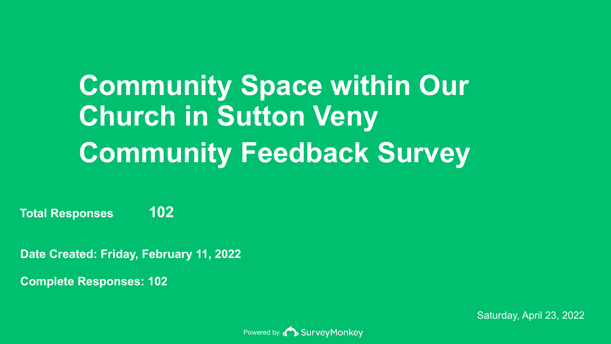# **Community Space within Our Church in Sutton Veny Community Feedback Survey**

**Total Responses 102**

**Date Created: Friday, February 11, 2022**

**Complete Responses: 102**

Powered by **BUILD** Survey Monkey

Saturday, April 23, 2022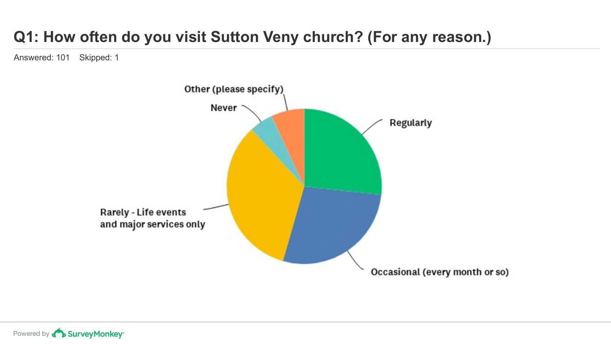## **Q1: How often do you visit Sutton Veny church? (For any reason.)**

Answered: 101 Skipped: 1

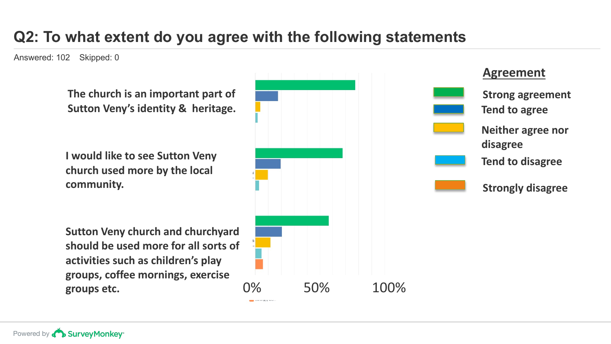## **Q2: To what extent do you agree with the following statements**

Answered: 102 Skipped: 0

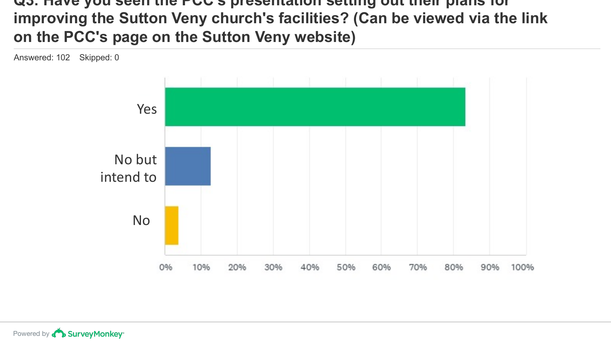#### **Q3: Have you seen the PCC's presentation setting out their plans for improving the Sutton Veny church's facilities? (Can be viewed via the link on the PCC's page on the Sutton Veny website)**

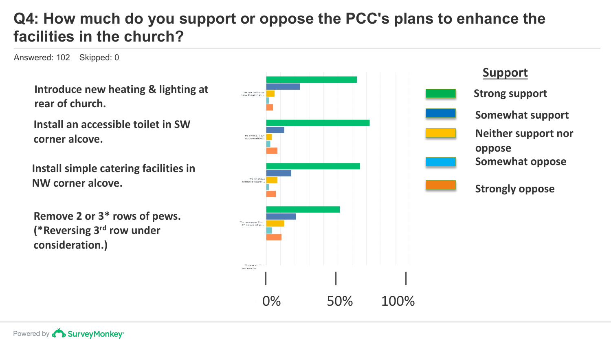## **Q4: How much do you support or oppose the PCC's plans to enhance the facilities in the church?**

Answered: 102 Skipped: 0

**Introduce new heating & lighting at** 

**Install an accessible toilet in SW corner alcove.**

**Install simple catering facilities in NW corner alcove.**

**Remove 2 or 3\* rows of pews. (\*Reversing 3rd row under consideration.)**



**Support Somewhat support Neither support nor oppose Somewhat oppose**

**Strongly oppose**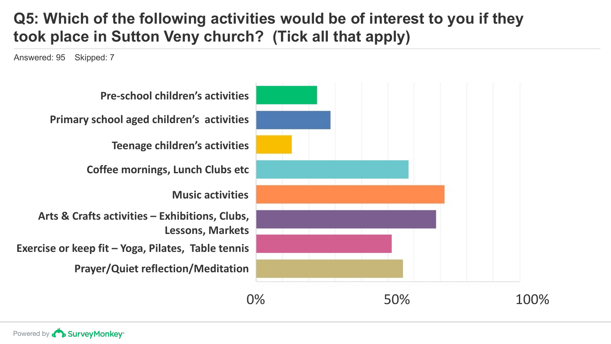## **Q5: Which of the following activities would be of interest to you if they took place in Sutton Veny church? (Tick all that apply)**

Answered: 95 Skipped: 7